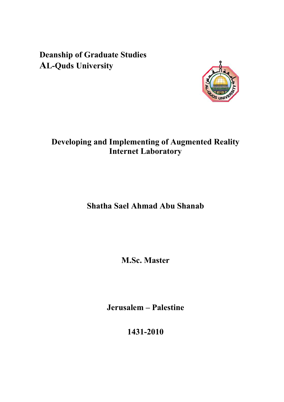**Deanship of Graduate Studies AL-Quds University** 



## **Developing and Implementing of Augmented Reality Internet Laboratory**

# **Shatha Sael Ahmad Abu Shanab**

**M.Sc. Master** 

**Jerusalem – Palestine** 

**1431-2010**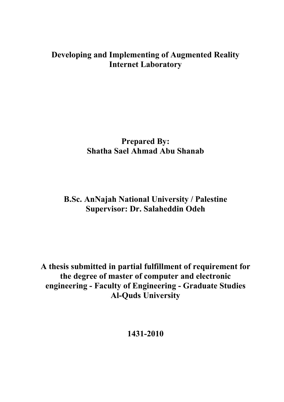## **Developing and Implementing of Augmented Reality Internet Laboratory**

## **Prepared By: Shatha Sael Ahmad Abu Shanab**

## **B.Sc. AnNajah National University / Palestine Supervisor: Dr. Salaheddin Odeh**

**A thesis submitted in partial fulfillment of requirement for the degree of master of computer and electronic engineering - Faculty of Engineering - Graduate Studies Al-Quds University** 

**1431-2010**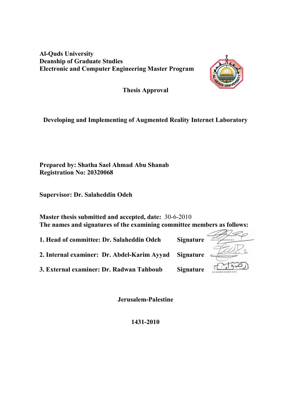**Al-Quds University Deanship of Graduate Studies Electronic and Computer Engineering Master Program** 



**Thesis Approval** 

### **Developing and Implementing of Augmented Reality Internet Laboratory**

**Prepared by: Shatha Sael Ahmad Abu Shanab Registration No: 20320068** 

**Supervisor: Dr. Salaheddin Odeh** 

**Master thesis submitted and accepted, date:** 30-6-2010 **The names and signatures of the examining committee members as follows:** 

**1. Head of committee: Dr. Salaheddin Odeh Signature**

**2. Internal examiner: Dr. Abdel-Karim Ayyad Signature**

**3. External examiner: Dr. Radwan Tahboub Signature**



**Jerusalem-Palestine** 

**1431-2010**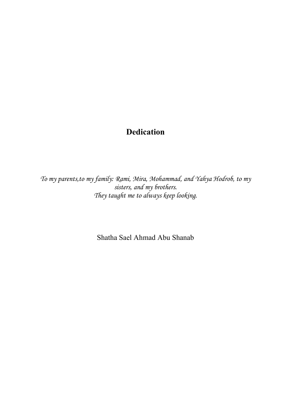# **Dedication**

*To my parents,to my family: Rami, Mira, Mohammad, and Yahya Hodrob, to my sisters, and my brothers. They taught me to always keep looking.* 

Shatha Sael Ahmad Abu Shanab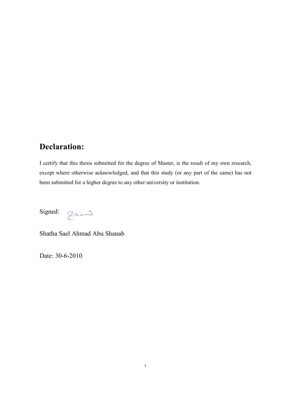## **Declaration:**

I certify that this thesis submitted for the degree of Master, is the result of my own research, except where otherwise acknowledged, and that this study (or any part of the same) has not been submitted for a higher degree to any other university or institution.

Signed:

توسنكم

Shatha Sael Ahmad Abu Shanab

Date: 30-6-2010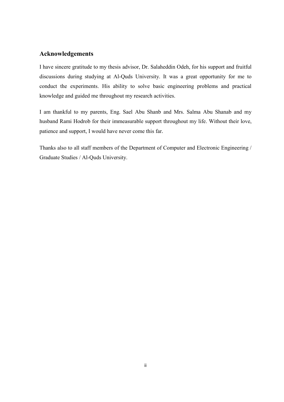#### **Acknowledgements**

I have sincere gratitude to my thesis advisor, Dr. Salaheddin Odeh, for his support and fruitful discussions during studying at Al-Quds University. It was a great opportunity for me to conduct the experiments. His ability to solve basic engineering problems and practical knowledge and guided me throughout my research activities.

I am thankful to my parents, Eng. Sael Abu Shanb and Mrs. Salma Abu Shanab and my husband Rami Hodrob for their immeasurable support throughout my life. Without their love, patience and support, I would have never come this far.

Thanks also to all staff members of the Department of Computer and Electronic Engineering / Graduate Studies / Al-Quds University.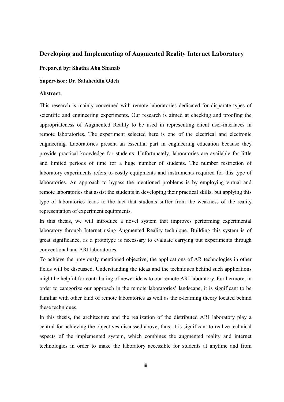#### **Developing and Implementing of Augmented Reality Internet Laboratory**

**Prepared by: Shatha Abu Shanab** 

#### **Supervisor: Dr. Salaheddin Odeh**

#### **Abstract:**

This research is mainly concerned with remote laboratories dedicated for disparate types of scientific and engineering experiments. Our research is aimed at checking and proofing the appropriateness of Augmented Reality to be used in representing client user-interfaces in remote laboratories. The experiment selected here is one of the electrical and electronic engineering. Laboratories present an essential part in engineering education because they provide practical knowledge for students. Unfortunately, laboratories are available for little and limited periods of time for a huge number of students. The number restriction of laboratory experiments refers to costly equipments and instruments required for this type of laboratories. An approach to bypass the mentioned problems is by employing virtual and remote laboratories that assist the students in developing their practical skills, but applying this type of laboratories leads to the fact that students suffer from the weakness of the reality representation of experiment equipments.

In this thesis, we will introduce a novel system that improves performing experimental laboratory through Internet using Augmented Reality technique. Building this system is of great significance, as a prototype is necessary to evaluate carrying out experiments through conventional and ARI laboratories.

To achieve the previously mentioned objective, the applications of AR technologies in other fields will be discussed. Understanding the ideas and the techniques behind such applications might be helpful for contributing of newer ideas to our remote ARI laboratory. Furthermore, in order to categorize our approach in the remote laboratories' landscape, it is significant to be familiar with other kind of remote laboratories as well as the e-learning theory located behind these techniques.

In this thesis, the architecture and the realization of the distributed ARI laboratory play a central for achieving the objectives discussed above; thus, it is significant to realize technical aspects of the implemented system, which combines the augmented reality and internet technologies in order to make the laboratory accessible for students at anytime and from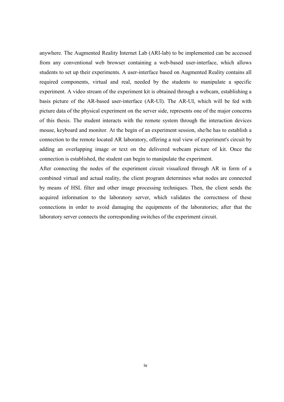anywhere. The Augmented Reality Internet Lab (ARI-lab) to be implemented can be accessed from any conventional web browser containing a web-based user-interface, which allows students to set up their experiments. A user-interface based on Augmented Reality contains all required components, virtual and real, needed by the students to manipulate a specific experiment. A video stream of the experiment kit is obtained through a webcam, establishing a basis picture of the AR-based user-interface (AR-UI). The AR-UI, which will be fed with picture data of the physical experiment on the server side, represents one of the major concerns of this thesis. The student interacts with the remote system through the interaction devices mouse, keyboard and monitor. At the begin of an experiment session, she/he has to establish a connection to the remote located AR laboratory, offering a real view of experiment's circuit by adding an overlapping image or text on the delivered webcam picture of kit. Once the connection is established, the student can begin to manipulate the experiment.

After connecting the nodes of the experiment circuit visualized through AR in form of a combined virtual and actual reality, the client program determines what nodes are connected by means of HSL filter and other image processing techniques. Then, the client sends the acquired information to the laboratory server, which validates the correctness of these connections in order to avoid damaging the equipments of the laboratories; after that the laboratory server connects the corresponding switches of the experiment circuit.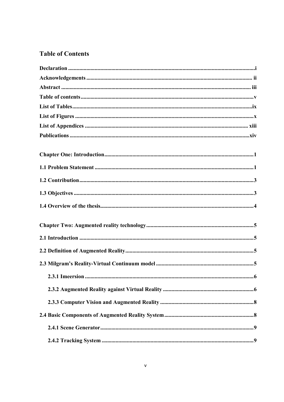### **Table of Contents**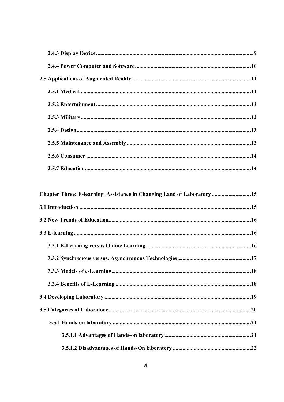| Chapter Three: E-learning Assistance in Changing Land of Laboratory15 |  |
|-----------------------------------------------------------------------|--|
|                                                                       |  |
|                                                                       |  |
|                                                                       |  |
|                                                                       |  |
|                                                                       |  |
|                                                                       |  |
|                                                                       |  |
|                                                                       |  |
|                                                                       |  |
|                                                                       |  |
|                                                                       |  |
|                                                                       |  |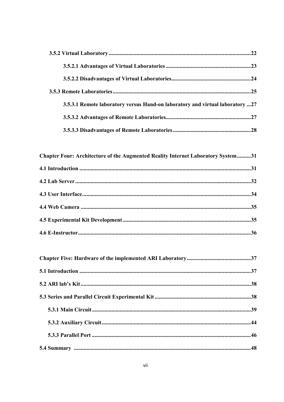| 3.5.3.1 Remote laboratory versus Hand-on laboratory and virtual laboratory 27 |
|-------------------------------------------------------------------------------|
|                                                                               |
|                                                                               |
|                                                                               |

| Chapter Four: Architecture of the Augmented Reality Internet Laboratory System31 |  |
|----------------------------------------------------------------------------------|--|
|                                                                                  |  |
|                                                                                  |  |
|                                                                                  |  |
|                                                                                  |  |
|                                                                                  |  |
|                                                                                  |  |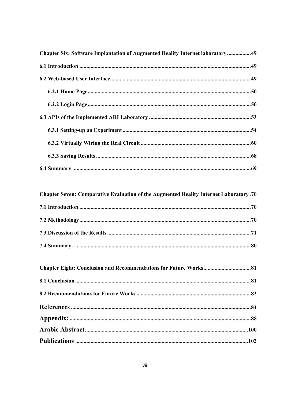| Chapter Six: Software Implantation of Augmented Reality Internet laboratory49 |  |
|-------------------------------------------------------------------------------|--|
|                                                                               |  |
|                                                                               |  |
|                                                                               |  |
|                                                                               |  |
|                                                                               |  |
|                                                                               |  |
|                                                                               |  |
|                                                                               |  |
|                                                                               |  |

### Chapter Seven: Comparative Evaluation of the Augmented Reality Internet Laboratory.70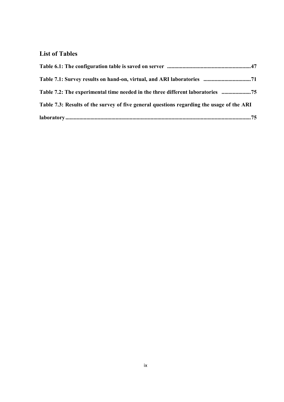### **List of Tables**

| Table 7.2: The experimental time needed in the three different laboratories 75            |
|-------------------------------------------------------------------------------------------|
| Table 7.3: Results of the survey of five general questions regarding the usage of the ARI |
|                                                                                           |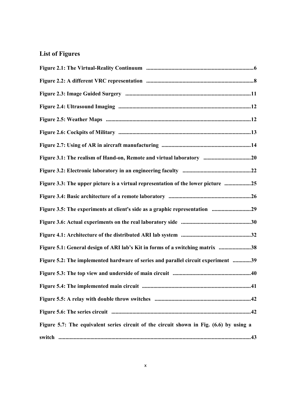### **List of Figures**

| Figure 3.1: The realism of Hand-on, Remote and virtual laboratory 20                    |
|-----------------------------------------------------------------------------------------|
|                                                                                         |
| Figure 3.3: The upper picture is a virtual representation of the lower picture 25       |
|                                                                                         |
| Figure 3.5: The experiments at client's side as a graphic representation 29             |
|                                                                                         |
|                                                                                         |
| Figure 5.1: General design of ARI lab's Kit in forms of a switching matrix 38           |
| Figure 5.2: The implemented hardware of series and parallel circuit experiment 39       |
|                                                                                         |
|                                                                                         |
|                                                                                         |
|                                                                                         |
| Figure 5.7: The equivalent series circuit of the circuit shown in Fig. (6.6) by using a |
|                                                                                         |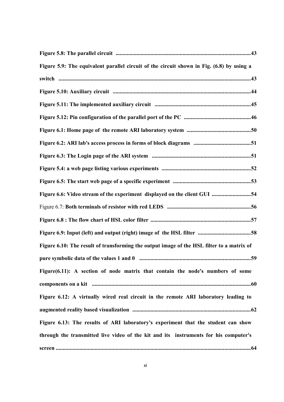| Figure 5.9: The equivalent parallel circuit of the circuit shown in Fig. (6.8) by using a |
|-------------------------------------------------------------------------------------------|
|                                                                                           |
|                                                                                           |
|                                                                                           |
|                                                                                           |
|                                                                                           |
|                                                                                           |
|                                                                                           |
|                                                                                           |
|                                                                                           |
| Figure 6.6: Video stream of the experiment displayed on the client GUI 54                 |
|                                                                                           |
|                                                                                           |
|                                                                                           |
| Figure 6.10: The result of transforming the output image of the HSL filter to a matrix of |
|                                                                                           |
| Figure(6.11): A section of node matrix that contain the node's numbers of some            |
|                                                                                           |
| Figure 6.12: A virtually wired real circuit in the remote ARI laboratory leading to       |
|                                                                                           |
| Figure 6.13: The results of ARI laboratory's experiment that the student can show         |
| through the transmitted live video of the kit and its instruments for his computer's      |
|                                                                                           |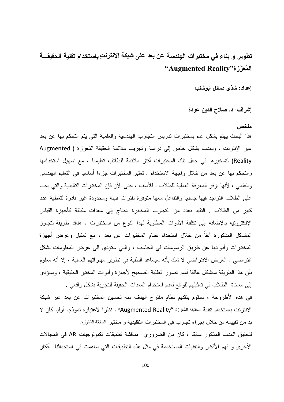# تطوير و بناء في مختبرات الهندسة عن بعد على شبكة الإنترنتِ باستخدام تقنية الحقيقـــة "المُعَزَزة"Augmented Reality

إعداد: شذى صائل ابوشنب

إشراف: د. صلاح الدين عودة

#### ملخص

هذا البحث يهتم بشكل عام بمختبرات ندريس التجارب الهندسية والعلمية التي يتم التحكم بها عن بعد عبر الإنترنت ، ويهدف بشكل خاص إلى در اسة وتجريب ملائمة الحقيقة المُعَزِّزة ( Augmented Reality) لتسخير ها في جعل تلك المختبرات أكثر ملائمة للطلاب تعليميا ، مع تسهيل استخدامها والنَّحكم بها عن بعد من خلال واجهة الاستخدام . تعتبر المختبرات جزءا أساسيا في التعليم الهندسي و العلمي ، لأنها نوفر المعرفة العملية للطلاب . للأسف ، حتى الآن فإن المختبر ات التقليدية و التي يجب على الطلاب النواجد فيها جسديا والنفاعل معها منوفرة لفنرات قليلة ومحدودة غير قادرة لنغطية عدد كبير من الطلاب . النقيد بعدد من النجارب المختبرة تحناج إلى معدات مكلفة كأجهزة القياس الإلكترونية بالإضافة إلى تكلفة الأدوات المطلوبة لهذا النوع من المختبرات . هناك طريقة لتجاوز المشاكل المذكورة أنفاً من خلال استخدام نظام المختبرات عن بعد ، مع تمثيل وعرض أجهزة المختبرات وأدواتها عن طريق الرسومات في الحاسب ، والتي ستؤدي الى عرض المعلومات بشكل افتراضيي . العرض الافتراضيي لا شك بأنه سيساعد الطلبة في تطوير مهاراتهم العملية ، إلا أنه معلوم بأن هذا الطريقة ستشكل عائقا أمام نصور الطلبة الصحيح لأجهزة وأدوات المختبر الحقيقية ، وستؤدي إلى معاناة الطلاب في تمثيلهم للو اقع لعدم استخدام المعدات الحقيقة للتجربة بشكل و اقعي .

في هذه الأطروحة ، سنقوم بتقديم نظام مقترح الهدف منه تحسين المختبرات عن بعد عبر شبكة الانترنت باستخدام نقنية الحقيقة المُعَزَزة "Augmented Reality" . نظر ا لاعتبار ه نموذجا أوليا كان لا بد من نقييمه من خلال إجراء تجارب في المختبرات النقليدية و مختبر الحقيقة المُعَزَزة.

لتحقيق الهدف المذكور سابقا ، كان من الضروري مناقشة تطبيقات تكنولوجيات AR في المجالات الأخرى و فهم الأفكار والتقنيات المستخدمة في مثل هذه التطبيقات التي ساهمت في استحداثنا أفكار